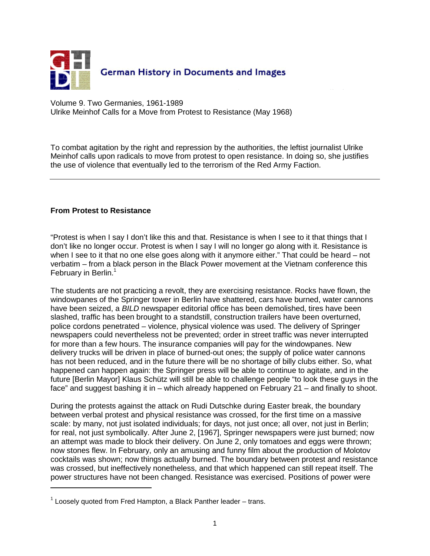

Volume 9. Two Germanies, 1961-1989 Ulrike Meinhof Calls for a Move from Protest to Resistance (May 1968)

To combat agitation by the right and repression by the authorities, the leftist journalist Ulrike Meinhof calls upon radicals to move from protest to open resistance. In doing so, she justifies the use of violence that eventually led to the terrorism of the Red Army Faction.

## **From Protest to Resistance**

 $\overline{a}$ 

"Protest is when I say I don't like this and that. Resistance is when I see to it that things that I don't like no longer occur. Protest is when I say I will no longer go along with it. Resistance is when I see to it that no one else goes along with it anymore either." That could be heard – not verbatim – from a black person in the Black Power movement at the Vietnam conference this February in Berlin. $1$ 

The students are not practicing a revolt, they are exercising resistance. Rocks have flown, the windowpanes of the Springer tower in Berlin have shattered, cars have burned, water cannons have been seized, a BILD newspaper editorial office has been demolished, tires have been slashed, traffic has been brought to a standstill, construction trailers have been overturned, police cordons penetrated – violence, physical violence was used. The delivery of Springer newspapers could nevertheless not be prevented; order in street traffic was never interrupted for more than a few hours. The insurance companies will pay for the windowpanes. New delivery trucks will be driven in place of burned-out ones; the supply of police water cannons has not been reduced, and in the future there will be no shortage of billy clubs either. So, what happened can happen again: the Springer press will be able to continue to agitate, and in the future [Berlin Mayor] Klaus Schütz will still be able to challenge people "to look these guys in the face" and suggest bashing it in – which already happened on February 21 – and finally to shoot.

During the protests against the attack on Rudi Dutschke during Easter break, the boundary between verbal protest and physical resistance was crossed, for the first time on a massive scale: by many, not just isolated individuals; for days, not just once; all over, not just in Berlin; for real, not just symbolically. After June 2, [1967], Springer newspapers were just burned; now an attempt was made to block their delivery. On June 2, only tomatoes and eggs were thrown; now stones flew. In February, only an amusing and funny film about the production of Molotov cocktails was shown; now things actually burned. The boundary between protest and resistance was crossed, but ineffectively nonetheless, and that which happened can still repeat itself. The power structures have not been changed. Resistance was exercised. Positions of power were

 $1$  Loosely quoted from Fred Hampton, a Black Panther leader – trans.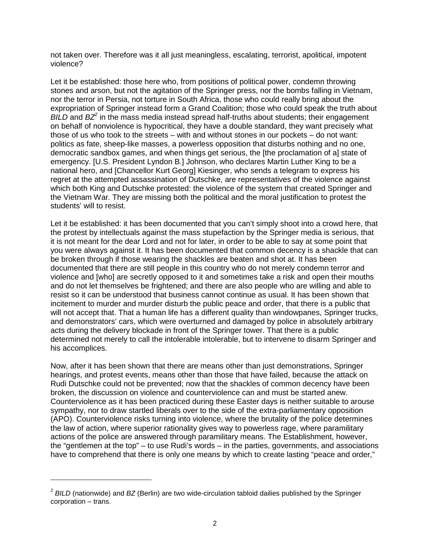not taken over. Therefore was it all just meaningless, escalating, terrorist, apolitical, impotent violence?

Let it be established: those here who, from positions of political power, condemn throwing stones and arson, but not the agitation of the Springer press, nor the bombs falling in Vietnam, nor the terror in Persia, not torture in South Africa, those who could really bring about the expropriation of Springer instead form a Grand Coalition; those who could speak the truth about BILD and  $BZ<sup>2</sup>$  in the mass media instead spread half-truths about students; their engagement on behalf of nonviolence is hypocritical, they have a double standard, they want precisely what those of us who took to the streets – with and without stones in our pockets – do not want: politics as fate, sheep-like masses, a powerless opposition that disturbs nothing and no one, democratic sandbox games, and when things get serious, the [the proclamation of a] state of emergency. [U.S. President Lyndon B.] Johnson, who declares Martin Luther King to be a national hero, and [Chancellor Kurt Georg] Kiesinger, who sends a telegram to express his regret at the attempted assassination of Dutschke, are representatives of the violence against which both King and Dutschke protested: the violence of the system that created Springer and the Vietnam War. They are missing both the political and the moral justification to protest the students' will to resist.

Let it be established: it has been documented that you can't simply shoot into a crowd here, that the protest by intellectuals against the mass stupefaction by the Springer media is serious, that it is not meant for the dear Lord and not for later, in order to be able to say at some point that you were always against it. It has been documented that common decency is a shackle that can be broken through if those wearing the shackles are beaten and shot at. It has been documented that there are still people in this country who do not merely condemn terror and violence and [who] are secretly opposed to it and sometimes take a risk and open their mouths and do not let themselves be frightened; and there are also people who are willing and able to resist so it can be understood that business cannot continue as usual. It has been shown that incitement to murder and murder disturb the public peace and order, that there is a public that will not accept that. That a human life has a different quality than windowpanes, Springer trucks, and demonstrators' cars, which were overturned and damaged by police in absolutely arbitrary acts during the delivery blockade in front of the Springer tower. That there is a public determined not merely to call the intolerable intolerable, but to intervene to disarm Springer and his accomplices.

Now, after it has been shown that there are means other than just demonstrations, Springer hearings, and protest events, means other than those that have failed, because the attack on Rudi Dutschke could not be prevented; now that the shackles of common decency have been broken, the discussion on violence and counterviolence can and must be started anew. Counterviolence as it has been practiced during these Easter days is neither suitable to arouse sympathy, nor to draw startled liberals over to the side of the extra-parliamentary opposition (APO). Counterviolence risks turning into violence, where the brutality of the police determines the law of action, where superior rationality gives way to powerless rage, where paramilitary actions of the police are answered through paramilitary means. The Establishment, however, the "gentlemen at the top" – to use Rudi's words – in the parties, governments, and associations have to comprehend that there is only one means by which to create lasting "peace and order,"

 $\overline{a}$ 

 $2$  BILD (nationwide) and BZ (Berlin) are two wide-circulation tabloid dailies published by the Springer corporation – trans.